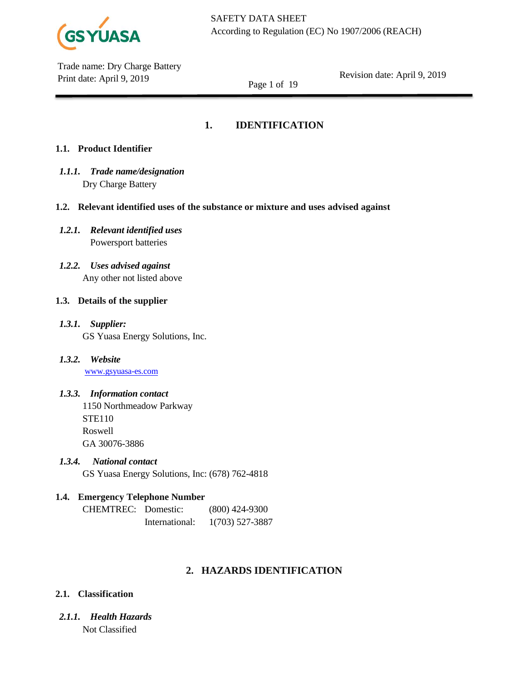

Revision date: April 9, 2019

Page 1 of 19

# **1. IDENTIFICATION**

# **1.1. Product Identifier**

- *1.1.1. Trade name/designation* Dry Charge Battery
- **1.2. Relevant identified uses of the substance or mixture and uses advised against**
- *1.2.1. Relevant identified uses* Powersport batteries
- *1.2.2. Uses advised against* Any other not listed above

# **1.3. Details of the supplier**

- *1.3.1. Supplier:* GS Yuasa Energy Solutions, Inc.
- *1.3.2. Website* [www.gsyuasa-es.com](http://www.gsyuasa-es.com/)

# *1.3.3. Information contact*

1150 Northmeadow Parkway STE110 Roswell GA 30076-3886

*1.3.4. National contact*

GS Yuasa Energy Solutions, Inc: (678) 762-4818

# **1.4. Emergency Telephone Number**

CHEMTREC: Domestic: (800) 424-9300 International: 1(703) 527-3887

# **2. HAZARDS IDENTIFICATION**

# **2.1. Classification**

*2.1.1. Health Hazards* Not Classified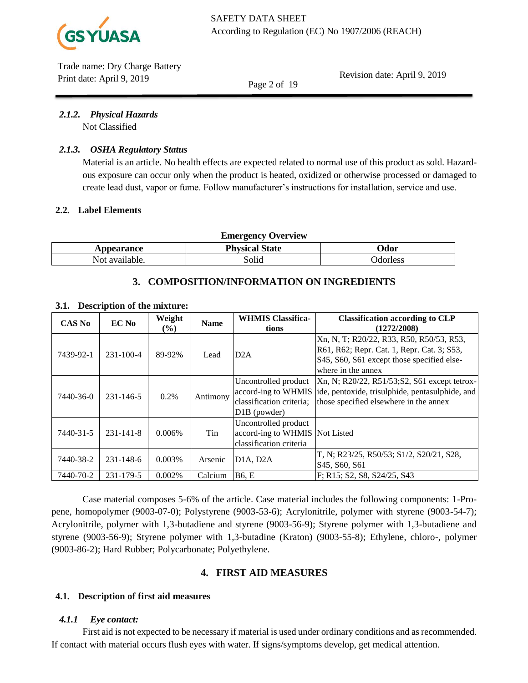

Revision date: April 9, 2019

Page 2 of 19

### *2.1.2. Physical Hazards*

Not Classified

### *2.1.3. OSHA Regulatory Status*

Material is an article. No health effects are expected related to normal use of this product as sold. Hazardous exposure can occur only when the product is heated, oxidized or otherwise processed or damaged to create lead dust, vapor or fume. Follow manufacturer's instructions for installation, service and use.

### **2.2. Label Elements**

|  | <b>Emergency Overview</b> |  |
|--|---------------------------|--|
|--|---------------------------|--|

| _<br>. .  |                     |              |  |  |  |
|-----------|---------------------|--------------|--|--|--|
| 100r0 nea | ירד<br>.<br>a<br>aw | Jdor<br>---- |  |  |  |
| N∩t       | $\bullet$           | シュラム         |  |  |  |

# **3. COMPOSITION/INFORMATION ON INGREDIENTS**

| CAS No    | EC No           | Weight<br>$($ %) | <b>Name</b> | <b>WHMIS Classifica-</b><br>tions                                                                    | <b>Classification according to CLP</b><br>(1272/2008)                                                                                                      |
|-----------|-----------------|------------------|-------------|------------------------------------------------------------------------------------------------------|------------------------------------------------------------------------------------------------------------------------------------------------------------|
| 7439-92-1 | $231 - 100 - 4$ | 89-92%           | Lead        | D2A                                                                                                  | Xn, N, T; R20/22, R33, R50, R50/53, R53,<br>R61, R62; Repr. Cat. 1, Repr. Cat. 3; S53,<br>S45, S60, S61 except those specified else-<br>where in the annex |
| 7440-36-0 | 231-146-5       | 0.2%             | Antimony    | Uncontrolled product<br>accord-ing to WHMIS<br>classification criteria;<br>D <sub>1</sub> B (powder) | Xn, N; R20/22, R51/53; S2, S61 except tetrox-<br>ide, pentoxide, trisulphide, pentasulphide, and<br>those specified elsewhere in the annex                 |
| 7440-31-5 | $231 - 141 - 8$ | 0.006%           | Tin         | Uncontrolled product<br>accord-ing to WHMIS Not Listed<br>classification criteria                    |                                                                                                                                                            |
| 7440-38-2 | 231-148-6       | 0.003%           | Arsenic     | D1A, D2A                                                                                             | T, N; R23/25, R50/53; S1/2, S20/21, S28,<br>S <sub>45</sub> , S <sub>60</sub> , S <sub>61</sub>                                                            |
| 7440-70-2 | 231-179-5       | 0.002%           | Calcium     | <b>B6.</b> E                                                                                         | F; R15; S2, S8, S24/25, S43                                                                                                                                |

#### **3.1. Description of the mixture:**

Case material composes 5-6% of the article. Case material includes the following components: 1-Propene, homopolymer (9003-07-0); Polystyrene (9003-53-6); Acrylonitrile, polymer with styrene (9003-54-7); Acrylonitrile, polymer with 1,3-butadiene and styrene (9003-56-9); Styrene polymer with 1,3-butadiene and styrene (9003-56-9); Styrene polymer with 1,3-butadine (Kraton) (9003-55-8); Ethylene, chloro-, polymer (9003-86-2); Hard Rubber; Polycarbonate; Polyethylene.

# **4. FIRST AID MEASURES**

# **4.1. Description of first aid measures**

# *4.1.1 Eye contact:*

First aid is not expected to be necessary if material is used under ordinary conditions and as recommended. If contact with material occurs flush eyes with water. If signs/symptoms develop, get medical attention.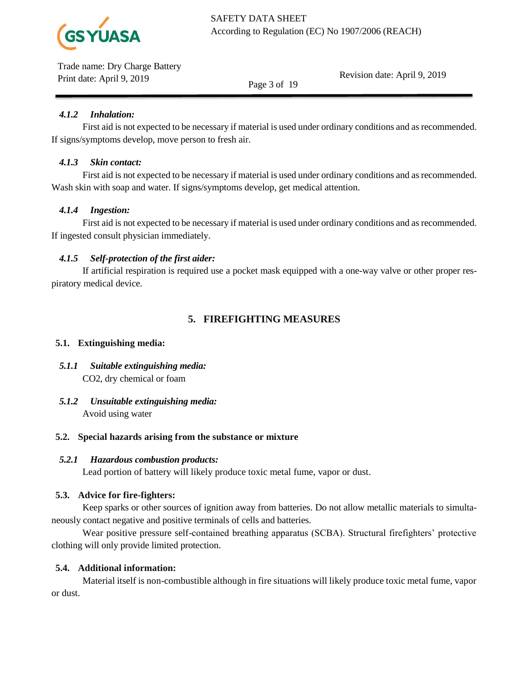

Revision date: April 9, 2019

Page 3 of 19

# *4.1.2 Inhalation:*

First aid is not expected to be necessary if material is used under ordinary conditions and as recommended. If signs/symptoms develop, move person to fresh air.

# *4.1.3 Skin contact:*

First aid is not expected to be necessary if material is used under ordinary conditions and as recommended. Wash skin with soap and water. If signs/symptoms develop, get medical attention.

# *4.1.4 Ingestion:*

First aid is not expected to be necessary if material is used under ordinary conditions and as recommended. If ingested consult physician immediately.

# *4.1.5 Self-protection of the first aider:*

If artificial respiration is required use a pocket mask equipped with a one-way valve or other proper respiratory medical device.

# **5. FIREFIGHTING MEASURES**

# **5.1. Extinguishing media:**

- *5.1.1 Suitable extinguishing media:* CO2, dry chemical or foam
- *5.1.2 Unsuitable extinguishing media:*  Avoid using water

# **5.2. Special hazards arising from the substance or mixture**

# *5.2.1 Hazardous combustion products:*

Lead portion of battery will likely produce toxic metal fume, vapor or dust.

# **5.3. Advice for fire-fighters:**

Keep sparks or other sources of ignition away from batteries. Do not allow metallic materials to simultaneously contact negative and positive terminals of cells and batteries.

Wear positive pressure self-contained breathing apparatus (SCBA). Structural firefighters' protective clothing will only provide limited protection.

# **5.4. Additional information:**

Material itself is non-combustible although in fire situations will likely produce toxic metal fume, vapor or dust.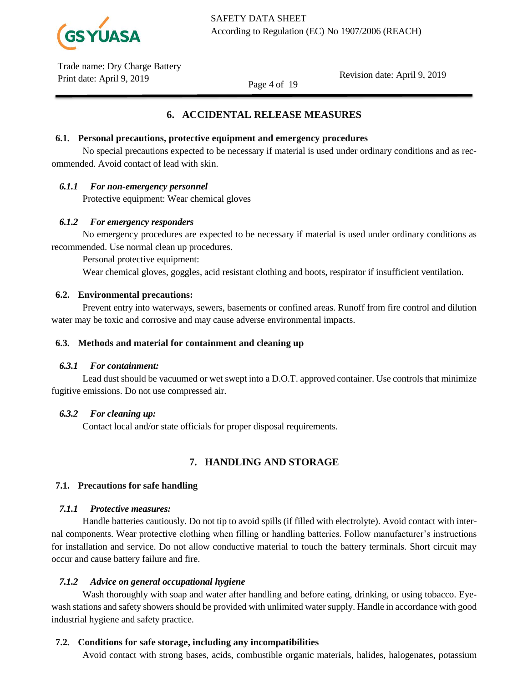

Revision date: April 9, 2019

Page 4 of 19

# **6. ACCIDENTAL RELEASE MEASURES**

### **6.1. Personal precautions, protective equipment and emergency procedures**

No special precautions expected to be necessary if material is used under ordinary conditions and as recommended. Avoid contact of lead with skin.

# *6.1.1 For non-emergency personnel*

Protective equipment: Wear chemical gloves

### *6.1.2 For emergency responders*

No emergency procedures are expected to be necessary if material is used under ordinary conditions as recommended. Use normal clean up procedures.

Personal protective equipment:

Wear chemical gloves, goggles, acid resistant clothing and boots, respirator if insufficient ventilation.

### **6.2. Environmental precautions:**

Prevent entry into waterways, sewers, basements or confined areas. Runoff from fire control and dilution water may be toxic and corrosive and may cause adverse environmental impacts.

#### **6.3. Methods and material for containment and cleaning up**

#### *6.3.1 For containment:*

Lead dust should be vacuumed or wet swept into a D.O.T. approved container. Use controls that minimize fugitive emissions. Do not use compressed air.

#### *6.3.2 For cleaning up:*

Contact local and/or state officials for proper disposal requirements.

# **7. HANDLING AND STORAGE**

# **7.1. Precautions for safe handling**

# *7.1.1 Protective measures:*

Handle batteries cautiously. Do not tip to avoid spills (if filled with electrolyte). Avoid contact with internal components. Wear protective clothing when filling or handling batteries. Follow manufacturer's instructions for installation and service. Do not allow conductive material to touch the battery terminals. Short circuit may occur and cause battery failure and fire.

# *7.1.2 Advice on general occupational hygiene*

Wash thoroughly with soap and water after handling and before eating, drinking, or using tobacco. Eyewash stations and safety showers should be provided with unlimited water supply. Handle in accordance with good industrial hygiene and safety practice.

# **7.2. Conditions for safe storage, including any incompatibilities**

Avoid contact with strong bases, acids, combustible organic materials, halides, halogenates, potassium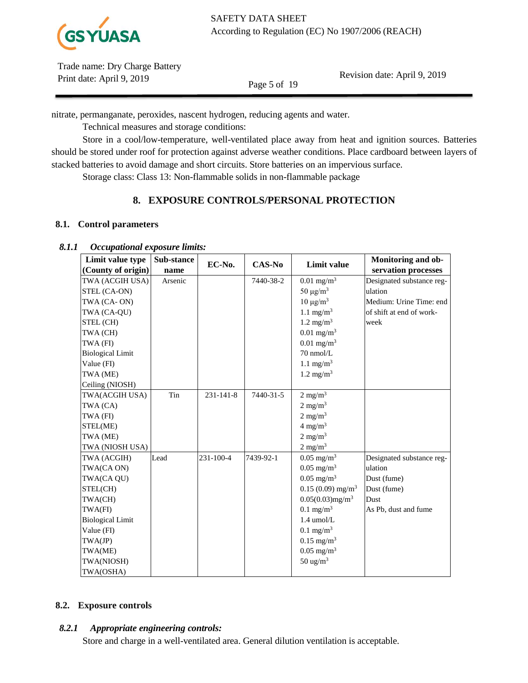

Revision date: April 9, 2019

Page 5 of 19

nitrate, permanganate, peroxides, nascent hydrogen, reducing agents and water.

Technical measures and storage conditions:

Store in a cool/low-temperature, well-ventilated place away from heat and ignition sources. Batteries should be stored under roof for protection against adverse weather conditions. Place cardboard between layers of stacked batteries to avoid damage and short circuits. Store batteries on an impervious surface.

Storage class: Class 13: Non-flammable solids in non-flammable package

# **8. EXPOSURE CONTROLS/PERSONAL PROTECTION**

# **8.1. Control parameters**

# *8.1.1 Occupational exposure limits:*

| Limit value type        | Sub-stance | EC-No.          |               |                                | Monitoring and ob-        |
|-------------------------|------------|-----------------|---------------|--------------------------------|---------------------------|
| (County of origin)      | name       |                 | <b>CAS-No</b> | Limit value                    | servation processes       |
| TWA (ACGIH USA)         | Arsenic    |                 | 7440-38-2     | $0.01$ mg/m <sup>3</sup>       | Designated substance reg- |
| STEL (CA-ON)            |            |                 |               | 50 $\mu$ g/m <sup>3</sup>      | ulation                   |
| TWA (CA-ON)             |            |                 |               | $10 \mu g/m^3$                 | Medium: Urine Time: end   |
| TWA (CA-QU)             |            |                 |               | 1.1 mg/m <sup>3</sup>          | of shift at end of work-  |
| STEL (CH)               |            |                 |               | $1.2 \text{ mg/m}^3$           | week                      |
| TWA (CH)                |            |                 |               | $0.01$ mg/m <sup>3</sup>       |                           |
| TWA (FI)                |            |                 |               | $0.01$ mg/m <sup>3</sup>       |                           |
| <b>Biological Limit</b> |            |                 |               | $70$ nmol/L                    |                           |
| Value (FI)              |            |                 |               | 1.1 mg/m <sup>3</sup>          |                           |
| TWA (ME)                |            |                 |               | $1.2 \text{ mg/m}^3$           |                           |
| Ceiling (NIOSH)         |            |                 |               |                                |                           |
| TWA(ACGIH USA)          | Tin        | $231 - 141 - 8$ | 7440-31-5     | $2 \text{ mg/m}^3$             |                           |
| TWA (CA)                |            |                 |               | $2 \text{ mg/m}^3$             |                           |
| TWA (FI)                |            |                 |               | $2 \text{ mg/m}^3$             |                           |
| STEL(ME)                |            |                 |               | $4 \text{ mg/m}^3$             |                           |
| TWA (ME)                |            |                 |               | $2 \text{ mg/m}^3$             |                           |
| TWA (NIOSH USA)         |            |                 |               | $2$ mg/m <sup>3</sup>          |                           |
| TWA (ACGIH)             | Lead       | 231-100-4       | 7439-92-1     | $0.05$ mg/m <sup>3</sup>       | Designated substance reg- |
| TWA(CA ON)              |            |                 |               | $0.05$ mg/m <sup>3</sup>       | ulation                   |
| TWA(CA QU)              |            |                 |               | $0.05 \text{ mg/m}^3$          | Dust (fume)               |
| STEL(CH)                |            |                 |               | $0.15(0.09)$ mg/m <sup>3</sup> | Dust (fume)               |
| TWA(CH)                 |            |                 |               | $0.05(0.03)$ mg/m <sup>3</sup> | Dust                      |
| TWA(FI)                 |            |                 |               | $0.1$ mg/m <sup>3</sup>        | As Pb, dust and fume      |
| <b>Biological Limit</b> |            |                 |               | $1.4 \text{ umol/L}$           |                           |
| Value (FI)              |            |                 |               | $0.1$ mg/m <sup>3</sup>        |                           |
| TWA(JP)                 |            |                 |               | $0.15$ mg/m <sup>3</sup>       |                           |
| TWA(ME)                 |            |                 |               | $0.05$ mg/m <sup>3</sup>       |                           |
| TWA(NIOSH)              |            |                 |               | $50 \text{ ug/m}^3$            |                           |
| TWA(OSHA)               |            |                 |               |                                |                           |

# **8.2. Exposure controls**

# *8.2.1 Appropriate engineering controls:*

Store and charge in a well-ventilated area. General dilution ventilation is acceptable.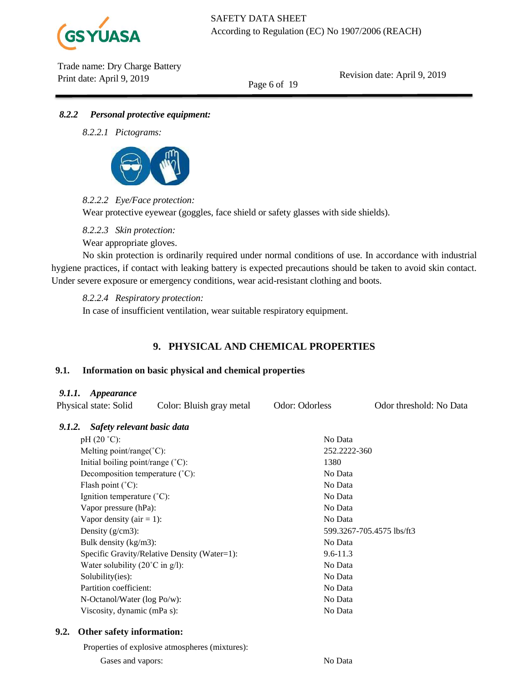

Revision date: April 9, 2019

Page 6 of 19

# *8.2.2 Personal protective equipment:*

*8.2.2.1 Pictograms:*



# *8.2.2.2 Eye/Face protection:*

Wear protective eyewear (goggles, face shield or safety glasses with side shields).

*8.2.2.3 Skin protection:*

Wear appropriate gloves.

No skin protection is ordinarily required under normal conditions of use. In accordance with industrial hygiene practices, if contact with leaking battery is expected precautions should be taken to avoid skin contact. Under severe exposure or emergency conditions, wear acid-resistant clothing and boots.

*8.2.2.4 Respiratory protection:*

In case of insufficient ventilation, wear suitable respiratory equipment.

# **9. PHYSICAL AND CHEMICAL PROPERTIES**

# **9.1. Information on basic physical and chemical properties**

# *9.1.1. Appearance*

|                              | <i>r.i.i. Appearance</i><br>Physical state: Solid  | Color: Bluish gray metal                     | Odor: Odorless            | Odor threshold: No Data |  |  |
|------------------------------|----------------------------------------------------|----------------------------------------------|---------------------------|-------------------------|--|--|
| 9.1.2.                       | Safety relevant basic data                         |                                              |                           |                         |  |  |
|                              | $pH(20 °C)$ :                                      |                                              | No Data                   |                         |  |  |
|                              | Melting point/range( $^{\circ}$ C):                |                                              | 252.2222-360              |                         |  |  |
|                              | Initial boiling point/range $({}^{\circ}C)$ :      |                                              | 1380                      |                         |  |  |
|                              | Decomposition temperature (°C):                    |                                              | No Data                   |                         |  |  |
|                              | Flash point $(^{\circ}C)$ :                        |                                              | No Data                   |                         |  |  |
|                              | Ignition temperature (°C):                         |                                              | No Data                   |                         |  |  |
| Vapor pressure (hPa):        |                                                    |                                              | No Data                   |                         |  |  |
| Vapor density ( $air = 1$ ): |                                                    |                                              | No Data                   |                         |  |  |
| Density $(g/cm3)$ :          |                                                    |                                              | 599.3267-705.4575 lbs/ft3 |                         |  |  |
|                              | Bulk density (kg/m3):                              |                                              | No Data                   |                         |  |  |
|                              |                                                    | Specific Gravity/Relative Density (Water=1): | $9.6 - 11.3$              |                         |  |  |
|                              | Water solubility $(20^{\circ}C \text{ in } g/l)$ : |                                              | No Data                   |                         |  |  |
|                              | Solubility(ies):                                   |                                              | No Data                   |                         |  |  |
|                              | Partition coefficient:                             |                                              | No Data                   |                         |  |  |
|                              | N-Octanol/Water (log Po/w):                        |                                              | No Data                   |                         |  |  |
|                              | Viscosity, dynamic (mPa s):                        |                                              | No Data                   |                         |  |  |
| 9.2.                         | Other safety information:                          |                                              |                           |                         |  |  |

Properties of explosive atmospheres (mixtures):

Gases and vapors: No Data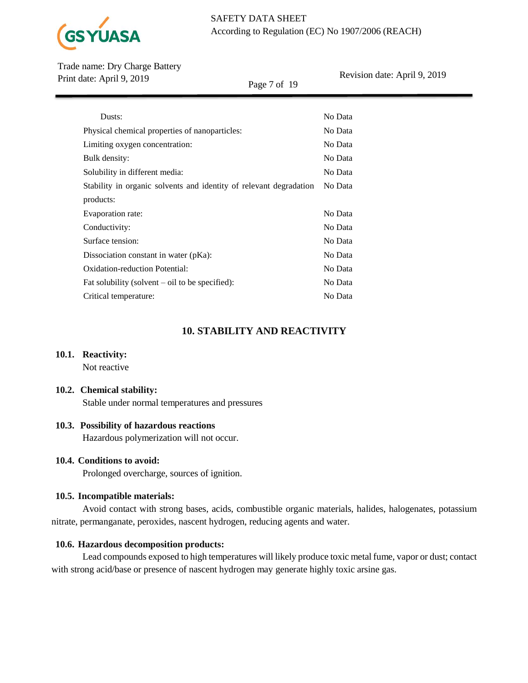

Page 7 of 19

Revision date: April 9, 2019

| Dusts:                                                             | No Data |
|--------------------------------------------------------------------|---------|
| Physical chemical properties of nanoparticles:                     | No Data |
| Limiting oxygen concentration:                                     | No Data |
| Bulk density:                                                      | No Data |
| Solubility in different media:                                     | No Data |
| Stability in organic solvents and identity of relevant degradation | No Data |
| products:                                                          |         |
| Evaporation rate:                                                  | No Data |
| Conductivity:                                                      | No Data |
| Surface tension:                                                   | No Data |
| Dissociation constant in water (pKa):                              | No Data |
| Oxidation-reduction Potential:                                     | No Data |
| Fat solubility (solvent $-$ oil to be specified):                  | No Data |
| Critical temperature:                                              | No Data |

# **10. STABILITY AND REACTIVITY**

# **10.1. Reactivity:**

Not reactive

### **10.2. Chemical stability:**

Stable under normal temperatures and pressures

# **10.3. Possibility of hazardous reactions**

Hazardous polymerization will not occur.

### **10.4. Conditions to avoid:**

Prolonged overcharge, sources of ignition.

# **10.5. Incompatible materials:**

Avoid contact with strong bases, acids, combustible organic materials, halides, halogenates, potassium nitrate, permanganate, peroxides, nascent hydrogen, reducing agents and water.

# **10.6. Hazardous decomposition products:**

Lead compounds exposed to high temperatures will likely produce toxic metal fume, vapor or dust; contact with strong acid/base or presence of nascent hydrogen may generate highly toxic arsine gas.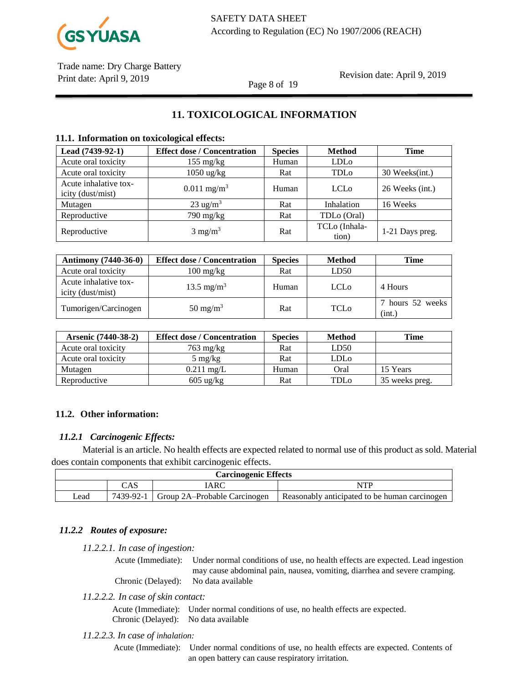

### Revision date: April 9, 2019

Page 8 of 19

# **11. TOXICOLOGICAL INFORMATION**

### **11.1. Information on toxicological effects:**

| Lead (7439-92-1)                           | <b>Effect dose / Concentration</b> | <b>Species</b> | <b>Method</b>          | <b>Time</b>     |
|--------------------------------------------|------------------------------------|----------------|------------------------|-----------------|
| Acute oral toxicity                        | $155 \text{ mg/kg}$                | Human          | LDL <sub>o</sub>       |                 |
| Acute oral toxicity                        | $1050$ ug/kg                       | Rat            | TDL <sub>o</sub>       | 30 Weeks(int.)  |
| Acute inhalative tox-<br>icity (dust/mist) | $0.011$ mg/m <sup>3</sup>          | Human          | <b>LCL<sub>0</sub></b> | 26 Weeks (int.) |
| Mutagen                                    | $23 \text{ ug/m}^3$                | Rat            | Inhalation             | 16 Weeks        |
| Reproductive                               | 790 mg/kg                          | Rat            | TDLo (Oral)            |                 |
| Reproductive                               | $3 \text{ mg/m}^3$                 | Rat            | TCLo (Inhala-<br>tion) | 1-21 Days preg. |

| <b>Antimony</b> (7440-36-0)                | <b>Effect dose / Concentration</b> | <b>Species</b> | <b>Method</b>    | Time                       |
|--------------------------------------------|------------------------------------|----------------|------------------|----------------------------|
| Acute oral toxicity                        | $100 \frac{\text{mg}}{\text{kg}}$  | Rat            | LD50             |                            |
| Acute inhalative tox-<br>icity (dust/mist) | 13.5 mg/m <sup>3</sup>             | Human          | LCL <sub>0</sub> | 4 Hours                    |
| Tumorigen/Carcinogen                       | $50 \text{ mg/m}^3$                | Rat            | TCLo             | 7 hours 52 weeks<br>(int.) |

| <b>Arsenic (7440-38-2)</b> | <b>Effect dose / Concentration</b> | <b>Species</b> | <b>Method</b> | Time           |
|----------------------------|------------------------------------|----------------|---------------|----------------|
| Acute oral toxicity        | $763 \text{ mg/kg}$                | Rat            | LD50          |                |
| Acute oral toxicity        | $5 \text{ mg/kg}$                  | Rat            | LDLo          |                |
| Mutagen                    | $0.211$ mg/L                       | Human          | Oral          | 15 Years       |
| Reproductive               | $605 \text{ ug/kg}$                | Rat            | TDLo          | 35 weeks preg. |

# **11.2. Other information:**

# *11.2.1 Carcinogenic Effects:*

Material is an article. No health effects are expected related to normal use of this product as sold. Material does contain components that exhibit carcinogenic effects.

| <b>Carcinogenic Effects</b> |  |                                          |                                               |  |  |
|-----------------------------|--|------------------------------------------|-----------------------------------------------|--|--|
| [ARC<br>NTP<br>CAS          |  |                                          |                                               |  |  |
| ∟ead                        |  | 7439-92-1   Group 2A-Probable Carcinogen | Reasonably anticipated to be human carcinogen |  |  |

# *11.2.2 Routes of exposure:*

#### *11.2.2.1. In case of ingestion:*

Acute (Immediate): Under normal conditions of use, no health effects are expected. Lead ingestion may cause abdominal pain, nausea, vomiting, diarrhea and severe cramping. Chronic (Delayed): No data available

*11.2.2.2. In case of skin contact:*

Acute (Immediate): Under normal conditions of use, no health effects are expected. Chronic (Delayed): No data available

#### *11.2.2.3. In case of inhalation:*

Acute (Immediate): Under normal conditions of use, no health effects are expected. Contents of an open battery can cause respiratory irritation.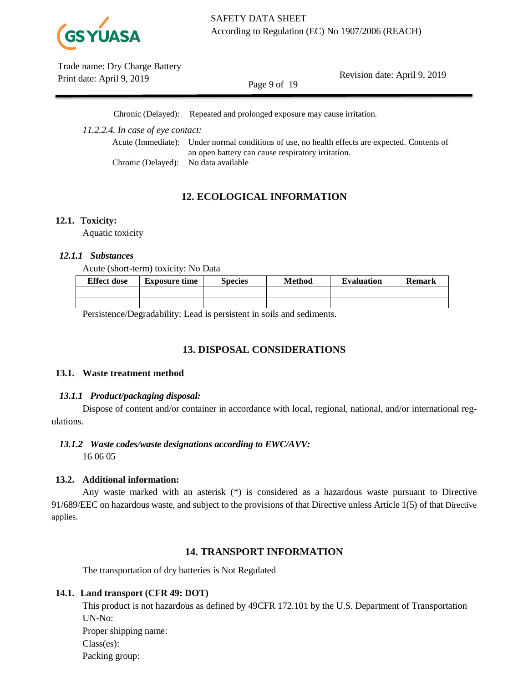

Revision date: April 9, 2019

Page 9 of 19

Chronic (Delayed): Repeated and prolonged exposure may cause irritation.

*11.2.2.4. In case of eye contact:*

Acute (Immediate): Under normal conditions of use, no health effects are expected. Contents of an open battery can cause respiratory irritation. Chronic (Delayed): No data available

# **12. ECOLOGICAL INFORMATION**

# **12.1. Toxicity:**

Aquatic toxicity

# *12.1.1 Substances*

Acute (short-term) toxicity: No Data

| <b>Effect dose</b> | <b>Exposure time</b> | <b>Species</b> | Method | <b>Evaluation</b> | <b>Remark</b> |
|--------------------|----------------------|----------------|--------|-------------------|---------------|
|                    |                      |                |        |                   |               |
|                    |                      |                |        |                   |               |

Persistence/Degradability: Lead is persistent in soils and sediments.

# **13. DISPOSAL CONSIDERATIONS**

# **13.1. Waste treatment method**

# *13.1.1 Product/packaging disposal:*

Dispose of content and/or container in accordance with local, regional, national, and/or international regulations.

# *13.1.2 Waste codes/waste designations according to EWC/AVV:*

16 06 05

# **13.2. Additional information:**

Any waste marked with an asterisk (\*) is considered as a hazardous waste pursuant to Directive 91/689/EEC on hazardous waste, and subject to the provisions of that Directive unless Article 1(5) of that Directive applies.

# **14. TRANSPORT INFORMATION**

The transportation of dry batteries is Not Regulated

# **14.1. Land transport (CFR 49: DOT)**

This product is not hazardous as defined by 49CFR 172.101 by the U.S. Department of Transportation UN-No: Proper shipping name: Class(es): Packing group: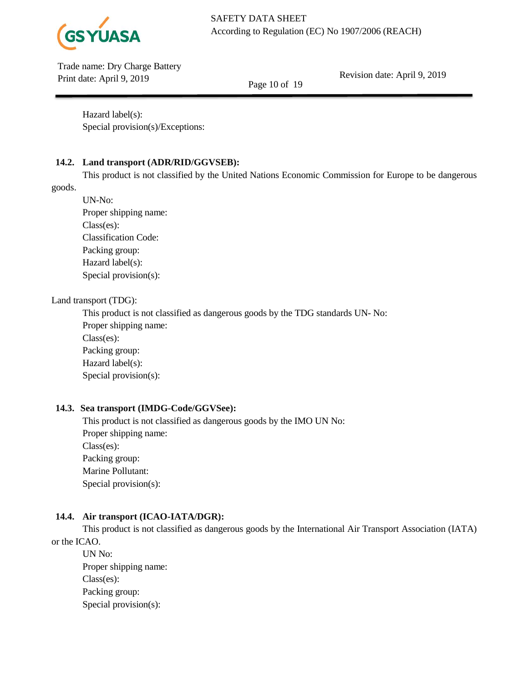

Revision date: April 9, 2019

Page 10 of 19

Hazard label(s): Special provision(s)/Exceptions:

# **14.2. Land transport (ADR/RID/GGVSEB):**

This product is not classified by the United Nations Economic Commission for Europe to be dangerous

goods.

UN-No: Proper shipping name: Class(es): Classification Code: Packing group: Hazard label(s): Special provision(s):

# Land transport (TDG):

This product is not classified as dangerous goods by the TDG standards UN- No: Proper shipping name: Class(es): Packing group: Hazard label(s): Special provision(s):

# **14.3. Sea transport (IMDG-Code/GGVSee):**

This product is not classified as dangerous goods by the IMO UN No: Proper shipping name: Class(es): Packing group: Marine Pollutant: Special provision(s):

# **14.4. Air transport (ICAO-IATA/DGR):**

This product is not classified as dangerous goods by the International Air Transport Association (IATA) or the ICAO.

UN No: Proper shipping name: Class(es): Packing group: Special provision(s):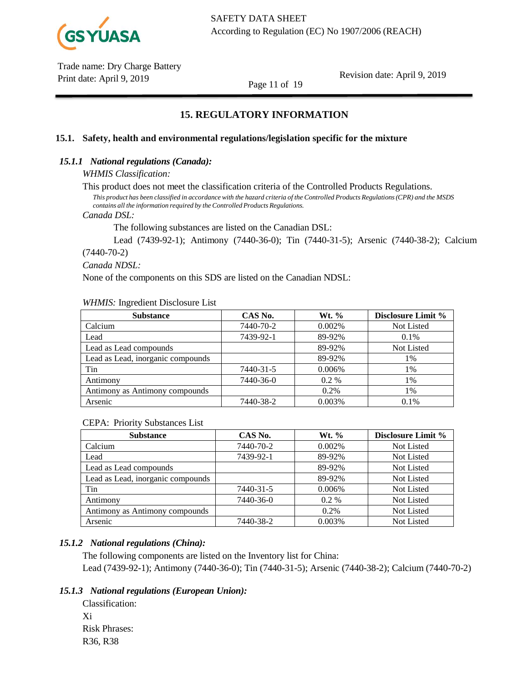

Revision date: April 9, 2019

Page 11 of 19

# **15. REGULATORY INFORMATION**

### **15.1. Safety, health and environmental regulations/legislation specific for the mixture**

### *15.1.1 National regulations (Canada):*

#### *WHMIS Classification:*

This product does not meet the classification criteria of the Controlled Products Regulations.

This product has been classified in accordance with the hazard criteria of the Controlled Products Regulations (CPR) and the MSDS *contains all the information required by the Controlled Products Regulations.*

#### *Canada DSL:*

The following substances are listed on the Canadian DSL:

Lead (7439-92-1); Antimony (7440-36-0); Tin (7440-31-5); Arsenic (7440-38-2); Calcium (7440-70-2)

# *Canada NDSL:*

None of the components on this SDS are listed on the Canadian NDSL:

#### *WHMIS:* Ingredient Disclosure List

| <b>Substance</b>                  | CAS No.   | $Wt.$ % | <b>Disclosure Limit %</b> |
|-----------------------------------|-----------|---------|---------------------------|
| Calcium                           | 7440-70-2 | 0.002%  | Not Listed                |
| Lead                              | 7439-92-1 | 89-92%  | 0.1%                      |
| Lead as Lead compounds            |           | 89-92%  | Not Listed                |
| Lead as Lead, inorganic compounds |           | 89-92%  | 1%                        |
| Tin                               | 7440-31-5 | 0.006%  | 1%                        |
| Antimony                          | 7440-36-0 | $0.2\%$ | 1%                        |
| Antimony as Antimony compounds    |           | 0.2%    | 1%                        |
| Arsenic                           | 7440-38-2 | 0.003%  | 0.1%                      |

### CEPA: Priority Substances List

| <b>Substance</b>                  | CAS No.   | Wt. %   | <b>Disclosure Limit %</b> |
|-----------------------------------|-----------|---------|---------------------------|
| Calcium                           | 7440-70-2 | 0.002%  | Not Listed                |
| Lead                              | 7439-92-1 | 89-92%  | Not Listed                |
| Lead as Lead compounds            |           | 89-92%  | <b>Not Listed</b>         |
| Lead as Lead, inorganic compounds |           | 89-92%  | Not Listed                |
| Tin                               | 7440-31-5 | 0.006%  | <b>Not Listed</b>         |
| Antimony                          | 7440-36-0 | $0.2\%$ | <b>Not Listed</b>         |
| Antimony as Antimony compounds    |           | 0.2%    | <b>Not Listed</b>         |
| Arsenic                           | 7440-38-2 | 0.003%  | <b>Not Listed</b>         |

# *15.1.2 National regulations (China):*

The following components are listed on the Inventory list for China: Lead (7439-92-1); Antimony (7440-36-0); Tin (7440-31-5); Arsenic (7440-38-2); Calcium (7440-70-2)

# *15.1.3 National regulations (European Union):*

Classification: Xi Risk Phrases: R36, R38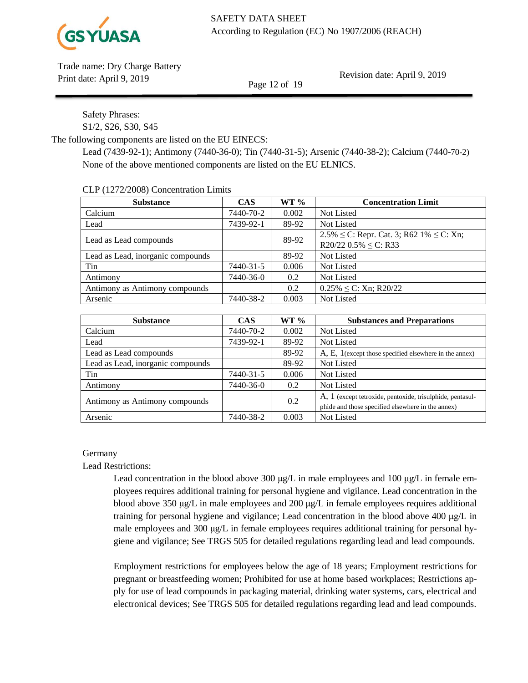

Revision date: April 9, 2019

Page 12 of 19

Safety Phrases: S1/2, S26, S30, S45

The following components are listed on the EU EINECS:

Lead (7439-92-1); Antimony (7440-36-0); Tin (7440-31-5); Arsenic (7440-38-2); Calcium (7440-70-2) None of the above mentioned components are listed on the EU ELNICS.

CLP (1272/2008) Concentration Limits

| <b>Substance</b>                  | <b>CAS</b> | $WT \%$ | <b>Concentration Limit</b>                                                        |
|-----------------------------------|------------|---------|-----------------------------------------------------------------------------------|
| Calcium                           | 7440-70-2  | 0.002   | Not Listed                                                                        |
| Lead                              | 7439-92-1  | 89-92   | Not Listed                                                                        |
| Lead as Lead compounds            |            | 89-92   | $2.5\% \le C$ : Repr. Cat. 3; R62 1% $\le C$ : Xn;<br>R20/22 $0.5\% \leq C$ : R33 |
| Lead as Lead, inorganic compounds |            | 89-92   | Not Listed                                                                        |
| Tin                               | 7440-31-5  | 0.006   | Not Listed                                                                        |
| Antimony                          | 7440-36-0  | 0.2     | Not Listed                                                                        |
| Antimony as Antimony compounds    |            | 0.2     | $0.25\% \leq C$ : Xn; R20/22                                                      |
| Arsenic                           | 7440-38-2  | 0.003   | Not Listed                                                                        |

| <b>Substance</b>                  | <b>CAS</b> | $WT \%$ | <b>Substances and Preparations</b>                        |
|-----------------------------------|------------|---------|-----------------------------------------------------------|
| Calcium                           | 7440-70-2  | 0.002   | Not Listed                                                |
| Lead                              | 7439-92-1  | 89-92   | Not Listed                                                |
| Lead as Lead compounds            |            | 89-92   | $A, E, 1$ (except those specified elsewhere in the annex) |
| Lead as Lead, inorganic compounds |            | 89-92   | Not Listed                                                |
| Tin                               | 7440-31-5  | 0.006   | Not Listed                                                |
| Antimony                          | 7440-36-0  | 0.2     | Not Listed                                                |
| Antimony as Antimony compounds    |            | 0.2     | A, 1 (except tetroxide, pentoxide, trisulphide, pentasul- |
|                                   |            |         | phide and those specified elsewhere in the annex)         |
| Arsenic                           | 7440-38-2  | 0.003   | Not Listed                                                |

# Germany

Lead Restrictions:

Lead concentration in the blood above 300 μg/L in male employees and 100 μg/L in female employees requires additional training for personal hygiene and vigilance. Lead concentration in the blood above 350 μg/L in male employees and 200 μg/L in female employees requires additional training for personal hygiene and vigilance; Lead concentration in the blood above 400 μg/L in male employees and 300 μg/L in female employees requires additional training for personal hygiene and vigilance; See TRGS 505 for detailed regulations regarding lead and lead compounds.

Employment restrictions for employees below the age of 18 years; Employment restrictions for pregnant or breastfeeding women; Prohibited for use at home based workplaces; Restrictions apply for use of lead compounds in packaging material, drinking water systems, cars, electrical and electronical devices; See TRGS 505 for detailed regulations regarding lead and lead compounds.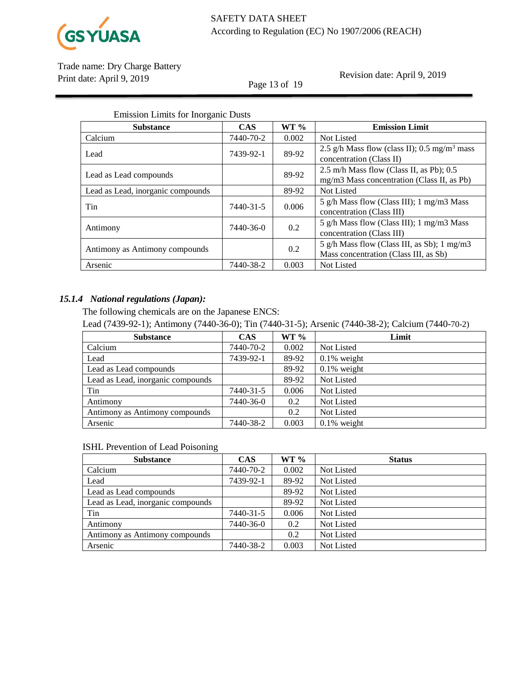

Page 13 of 19

Revision date: April 9, 2019

| <b>Emission Limits for Inorganic Dusts</b> |            |        |                                                                                        |
|--------------------------------------------|------------|--------|----------------------------------------------------------------------------------------|
| <b>Substance</b>                           | <b>CAS</b> | WT 9/6 | <b>Emission Limit</b>                                                                  |
| Calcium                                    | 7440-70-2  | 0.002  | Not Listed                                                                             |
| Lead                                       | 7439-92-1  | 89-92  | 2.5 g/h Mass flow (class II); $0.5$ mg/m <sup>3</sup> mass<br>concentration (Class II) |
| Lead as Lead compounds                     |            | 89-92  | 2.5 m/h Mass flow (Class II, as Pb); 0.5<br>mg/m3 Mass concentration (Class II, as Pb) |
| Lead as Lead, inorganic compounds          |            | 89-92  | Not Listed                                                                             |
| Tin                                        | 7440-31-5  | 0.006  | 5 g/h Mass flow (Class III); 1 mg/m3 Mass<br>concentration (Class III)                 |
| Antimony                                   | 7440-36-0  | 0.2    | 5 g/h Mass flow (Class III); 1 mg/m3 Mass<br>concentration (Class III)                 |
| Antimony as Antimony compounds             |            | 0.2    | 5 g/h Mass flow (Class III, as Sb); 1 mg/m3<br>Mass concentration (Class III, as Sb)   |
| Arsenic                                    | 7440-38-2  | 0.003  | <b>Not Listed</b>                                                                      |

# *15.1.4 National regulations (Japan):*

The following chemicals are on the Japanese ENCS:

Lead (7439-92-1); Antimony (7440-36-0); Tin (7440-31-5); Arsenic (7440-38-2); Calcium (7440-70-2)

| <b>Substance</b>                  | <b>CAS</b> | $WT \%$ | Limit          |
|-----------------------------------|------------|---------|----------------|
| Calcium                           | 7440-70-2  | 0.002   | Not Listed     |
| Lead                              | 7439-92-1  | 89-92   | $0.1\%$ weight |
| Lead as Lead compounds            |            | 89-92   | $0.1\%$ weight |
| Lead as Lead, inorganic compounds |            | 89-92   | Not Listed     |
| Tin                               | 7440-31-5  | 0.006   | Not Listed     |
| Antimony                          | 7440-36-0  | 0.2     | Not Listed     |
| Antimony as Antimony compounds    |            | 0.2     | Not Listed     |
| Arsenic                           | 7440-38-2  | 0.003   | $0.1\%$ weight |

# ISHL Prevention of Lead Poisoning

| <b>Substance</b>                  | <b>CAS</b> | WT 9/6 | <b>Status</b> |
|-----------------------------------|------------|--------|---------------|
| Calcium                           | 7440-70-2  | 0.002  | Not Listed    |
| Lead                              | 7439-92-1  | 89-92  | Not Listed    |
| Lead as Lead compounds            |            | 89-92  | Not Listed    |
| Lead as Lead, inorganic compounds |            | 89-92  | Not Listed    |
| Tin                               | 7440-31-5  | 0.006  | Not Listed    |
| Antimony                          | 7440-36-0  | 0.2    | Not Listed    |
| Antimony as Antimony compounds    |            | 0.2    | Not Listed    |
| Arsenic                           | 7440-38-2  | 0.003  | Not Listed    |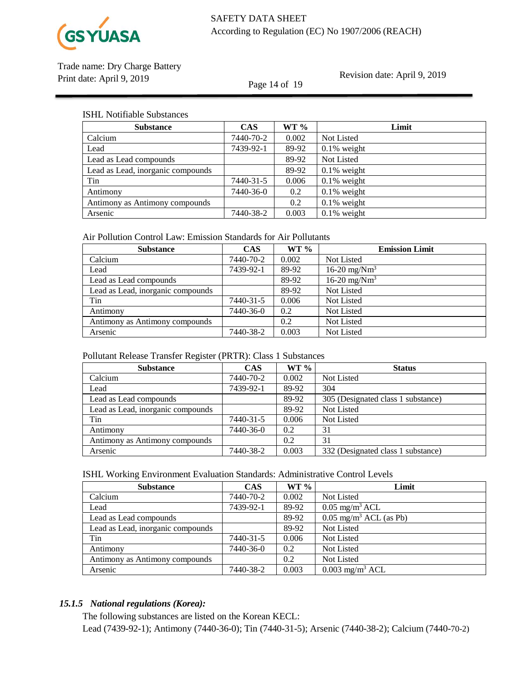

Page 14 of 19

Revision date: April 9, 2019

### ISHL Notifiable Substances

| <b>Substance</b>                  | <b>CAS</b> | $WT \%$ | Limit          |
|-----------------------------------|------------|---------|----------------|
| Calcium                           | 7440-70-2  | 0.002   | Not Listed     |
| Lead                              | 7439-92-1  | 89-92   | $0.1\%$ weight |
| Lead as Lead compounds            |            | 89-92   | Not Listed     |
| Lead as Lead, inorganic compounds |            | 89-92   | $0.1\%$ weight |
| Tin                               | 7440-31-5  | 0.006   | $0.1\%$ weight |
| Antimony                          | 7440-36-0  | 0.2     | $0.1\%$ weight |
| Antimony as Antimony compounds    |            | 0.2     | $0.1\%$ weight |
| Arsenic                           | 7440-38-2  | 0.003   | $0.1\%$ weight |

# Air Pollution Control Law: Emission Standards for Air Pollutants

| <b>Substance</b>                  | <b>CAS</b> | $WT \%$       | <b>Emission Limit</b> |
|-----------------------------------|------------|---------------|-----------------------|
| Calcium                           | 7440-70-2  | 0.002         | Not Listed            |
| Lead                              | 7439-92-1  | 89-92         | 16-20 mg/ $Nm^3$      |
| Lead as Lead compounds            |            | 89-92         | 16-20 mg/ $Nm^3$      |
| Lead as Lead, inorganic compounds |            | 89-92         | Not Listed            |
| Tin                               | 7440-31-5  | 0.006         | Not Listed            |
| Antimony                          | 7440-36-0  | 0.2           | Not Listed            |
| Antimony as Antimony compounds    |            | $0.2^{\circ}$ | Not Listed            |
| Arsenic                           | 7440-38-2  | 0.003         | Not Listed            |

# Pollutant Release Transfer Register (PRTR): Class 1 Substances

| <b>Substance</b>                  | <b>CAS</b> | $WT \%$ | <b>Status</b>                      |
|-----------------------------------|------------|---------|------------------------------------|
| Calcium                           | 7440-70-2  | 0.002   | <b>Not Listed</b>                  |
| Lead                              | 7439-92-1  | 89-92   | 304                                |
| Lead as Lead compounds            |            | 89-92   | 305 (Designated class 1 substance) |
| Lead as Lead, inorganic compounds |            | 89-92   | Not Listed                         |
| Tin                               | 7440-31-5  | 0.006   | Not Listed                         |
| Antimony                          | 7440-36-0  | 0.2     | 31                                 |
| Antimony as Antimony compounds    |            | 0.2     | 31                                 |
| Arsenic                           | 7440-38-2  | 0.003   | 332 (Designated class 1 substance) |

### ISHL Working Environment Evaluation Standards: Administrative Control Levels

| <b>Substance</b>                  | <b>CAS</b> | $WT\%$ | Limit                                |
|-----------------------------------|------------|--------|--------------------------------------|
| Calcium                           | 7440-70-2  | 0.002  | <b>Not Listed</b>                    |
| Lead                              | 7439-92-1  | 89-92  | $0.05 \text{ mg/m}^3$ ACL            |
| Lead as Lead compounds            |            | 89-92  | $0.05$ mg/m <sup>3</sup> ACL (as Pb) |
| Lead as Lead, inorganic compounds |            | 89-92  | Not Listed                           |
| Tin                               | 7440-31-5  | 0.006  | Not Listed                           |
| Antimony                          | 7440-36-0  | 0.2    | Not Listed                           |
| Antimony as Antimony compounds    |            | 0.2    | Not Listed                           |
| Arsenic                           | 7440-38-2  | 0.003  | $0.003$ mg/m <sup>3</sup> ACL        |

# *15.1.5 National regulations (Korea):*

The following substances are listed on the Korean KECL: Lead (7439-92-1); Antimony (7440-36-0); Tin (7440-31-5); Arsenic (7440-38-2); Calcium (7440-70-2)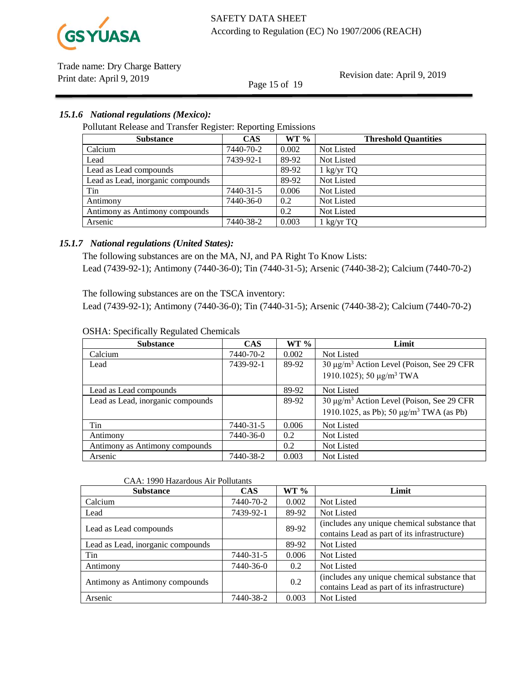

Page 15 of 19

Revision date: April 9, 2019

# *15.1.6 National regulations (Mexico):*

Pollutant Release and Transfer Register: Reporting Emissions

| <b>Substance</b>                  | <b>CAS</b> | WT 9/6 | <b>Threshold Quantities</b> |
|-----------------------------------|------------|--------|-----------------------------|
| Calcium                           | 7440-70-2  | 0.002  | Not Listed                  |
| Lead                              | 7439-92-1  | 89-92  | Not Listed                  |
| Lead as Lead compounds            |            | 89-92  | $1$ kg/yr TQ                |
| Lead as Lead, inorganic compounds |            | 89-92  | Not Listed                  |
| Tin                               | 7440-31-5  | 0.006  | Not Listed                  |
| Antimony                          | 7440-36-0  | 0.2    | Not Listed                  |
| Antimony as Antimony compounds    |            | 0.2    | Not Listed                  |
| Arsenic                           | 7440-38-2  | 0.003  | $1 \text{ kg/yr}$ TQ        |

# *15.1.7 National regulations (United States):*

The following substances are on the MA, NJ, and PA Right To Know Lists: Lead (7439-92-1); Antimony (7440-36-0); Tin (7440-31-5); Arsenic (7440-38-2); Calcium (7440-70-2)

The following substances are on the TSCA inventory:

Lead (7439-92-1); Antimony (7440-36-0); Tin (7440-31-5); Arsenic (7440-38-2); Calcium (7440-70-2)

| <b>Substance</b>                  | <b>CAS</b> | $WT \%$ | Limit                                                    |
|-----------------------------------|------------|---------|----------------------------------------------------------|
| Calcium                           | 7440-70-2  | 0.002   | <b>Not Listed</b>                                        |
| Lead                              | 7439-92-1  | 89-92   | 30 μg/m <sup>3</sup> Action Level (Poison, See 29 CFR    |
|                                   |            |         | 1910.1025); 50 $\mu$ g/m <sup>3</sup> TWA                |
| Lead as Lead compounds            |            | 89-92   | Not Listed                                               |
| Lead as Lead, inorganic compounds |            | 89-92   | 30 μg/m <sup>3</sup> Action Level (Poison, See 29 CFR    |
|                                   |            |         | 1910.1025, as Pb); 50 $\mu$ g/m <sup>3</sup> TWA (as Pb) |
| Tin                               | 7440-31-5  | 0.006   | <b>Not Listed</b>                                        |
| Antimony                          | 7440-36-0  | 0.2     | Not Listed                                               |
| Antimony as Antimony compounds    |            | 0.2     | Not Listed                                               |
| Arsenic                           | 7440-38-2  | 0.003   | <b>Not Listed</b>                                        |

#### OSHA: Specifically Regulated Chemicals

#### CAA: 1990 Hazardous Air Pollutants

| <b>Substance</b>                  | <b>CAS</b> | WT %  | Limit                                                                                        |
|-----------------------------------|------------|-------|----------------------------------------------------------------------------------------------|
| Calcium                           | 7440-70-2  | 0.002 | Not Listed                                                                                   |
| Lead                              | 7439-92-1  | 89-92 | Not Listed                                                                                   |
| Lead as Lead compounds            |            | 89-92 | (includes any unique chemical substance that<br>contains Lead as part of its infrastructure) |
| Lead as Lead, inorganic compounds |            | 89-92 | Not Listed                                                                                   |
| Tin                               | 7440-31-5  | 0.006 | Not Listed                                                                                   |
| Antimony                          | 7440-36-0  | 0.2   | Not Listed                                                                                   |
| Antimony as Antimony compounds    |            | 0.2   | (includes any unique chemical substance that<br>contains Lead as part of its infrastructure) |
| Arsenic                           | 7440-38-2  | 0.003 | Not Listed                                                                                   |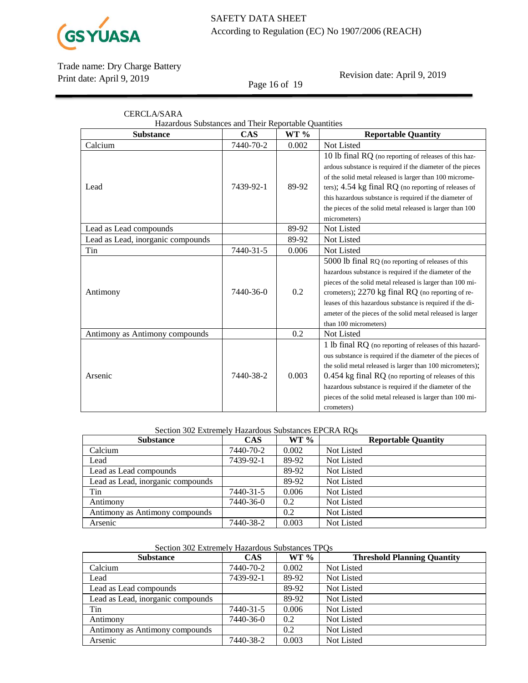

Page 16 of 19

Revision date: April 9, 2019

| <b>CERCLA/SARA</b>                                   |            |       |                                                            |  |
|------------------------------------------------------|------------|-------|------------------------------------------------------------|--|
| Hazardous Substances and Their Reportable Quantities |            |       |                                                            |  |
| <b>Substance</b>                                     | <b>CAS</b> | WT %  | <b>Reportable Quantity</b>                                 |  |
| Calcium                                              | 7440-70-2  | 0.002 | Not Listed                                                 |  |
|                                                      |            |       | 10 lb final RQ (no reporting of releases of this haz-      |  |
|                                                      |            |       | ardous substance is required if the diameter of the pieces |  |
|                                                      |            |       | of the solid metal released is larger than 100 microme-    |  |
| Lead                                                 | 7439-92-1  | 89-92 | ters); 4.54 kg final RQ (no reporting of releases of       |  |
|                                                      |            |       | this hazardous substance is required if the diameter of    |  |
|                                                      |            |       | the pieces of the solid metal released is larger than 100  |  |
|                                                      |            |       | micrometers)                                               |  |
| Lead as Lead compounds                               |            | 89-92 | Not Listed                                                 |  |
| Lead as Lead, inorganic compounds                    |            | 89-92 | Not Listed                                                 |  |
| Tin                                                  | 7440-31-5  | 0.006 | Not Listed                                                 |  |
|                                                      |            |       | 5000 lb final RQ (no reporting of releases of this         |  |
|                                                      |            |       | hazardous substance is required if the diameter of the     |  |
|                                                      |            |       | pieces of the solid metal released is larger than 100 mi-  |  |
| Antimony                                             | 7440-36-0  | 0.2   | crometers); 2270 kg final RQ (no reporting of re-          |  |
|                                                      |            |       | leases of this hazardous substance is required if the di-  |  |
|                                                      |            |       | ameter of the pieces of the solid metal released is larger |  |
|                                                      |            |       | than 100 micrometers)                                      |  |
| Antimony as Antimony compounds                       |            | 0.2   | Not Listed                                                 |  |
|                                                      |            |       | 1 lb final RQ (no reporting of releases of this hazard-    |  |
|                                                      |            |       | ous substance is required if the diameter of the pieces of |  |
|                                                      |            |       | the solid metal released is larger than 100 micrometers);  |  |
| Arsenic                                              | 7440-38-2  | 0.003 | 0.454 kg final RQ (no reporting of releases of this        |  |
|                                                      |            |       | hazardous substance is required if the diameter of the     |  |
|                                                      |            |       | pieces of the solid metal released is larger than 100 mi-  |  |
|                                                      |            |       | crometers)                                                 |  |

#### Section 302 Extremely Hazardous Substances EPCRA RQs

| <b>Substance</b>                  | <b>CAS</b> | $WT \%$ | <b>Reportable Quantity</b> |
|-----------------------------------|------------|---------|----------------------------|
| Calcium                           | 7440-70-2  | 0.002   | Not Listed                 |
| Lead                              | 7439-92-1  | 89-92   | Not Listed                 |
| Lead as Lead compounds            |            | 89-92   | Not Listed                 |
| Lead as Lead, inorganic compounds |            | 89-92   | <b>Not Listed</b>          |
| Tin                               | 7440-31-5  | 0.006   | <b>Not Listed</b>          |
| Antimony                          | 7440-36-0  | 0.2     | <b>Not Listed</b>          |
| Antimony as Antimony compounds    |            | 0.2     | <b>Not Listed</b>          |
| Arsenic                           | 7440-38-2  | 0.003   | <b>Not Listed</b>          |

# Section 302 Extremely Hazardous Substances TPQs

| <b>Substance</b>                  | <b>CAS</b> | $WT \%$ | <b>Threshold Planning Quantity</b> |
|-----------------------------------|------------|---------|------------------------------------|
| Calcium                           | 7440-70-2  | 0.002   | Not Listed                         |
| Lead                              | 7439-92-1  | 89-92   | Not Listed                         |
| Lead as Lead compounds            |            | 89-92   | Not Listed                         |
| Lead as Lead, inorganic compounds |            | 89-92   | Not Listed                         |
| Tin                               | 7440-31-5  | 0.006   | Not Listed                         |
| Antimony                          | 7440-36-0  | 0.2     | Not Listed                         |
| Antimony as Antimony compounds    |            | 0.2     | Not Listed                         |
| Arsenic                           | 7440-38-2  | 0.003   | Not Listed                         |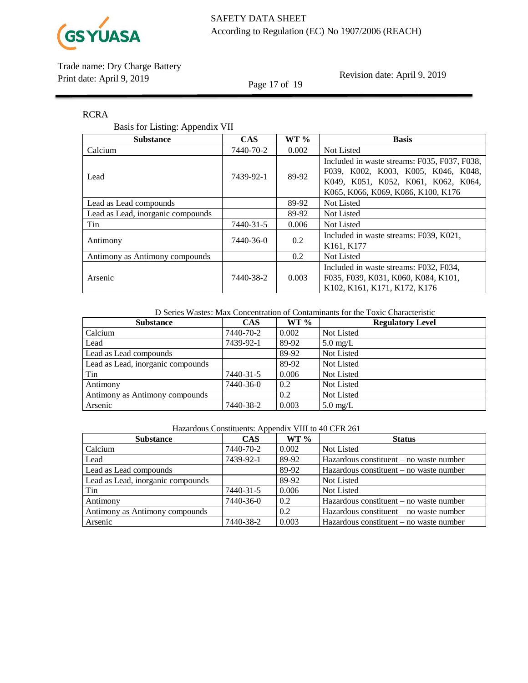

Page 17 of 19

Revision date: April 9, 2019

# RCRA

# Basis for Listing: Appendix VII

| <b>Substance</b>                  | <b>CAS</b> | $WT \%$ | <b>Basis</b>                                                                                                                                                     |
|-----------------------------------|------------|---------|------------------------------------------------------------------------------------------------------------------------------------------------------------------|
| Calcium                           | 7440-70-2  | 0.002   | Not Listed                                                                                                                                                       |
| Lead                              | 7439-92-1  | 89-92   | Included in waste streams: F035, F037, F038,<br>F039, K002, K003, K005, K046, K048,<br>K049, K051, K052, K061, K062, K064,<br>K065, K066, K069, K086, K100, K176 |
| Lead as Lead compounds            |            | 89-92   | Not Listed                                                                                                                                                       |
| Lead as Lead, inorganic compounds |            | 89-92   | Not Listed                                                                                                                                                       |
| Tin                               | 7440-31-5  | 0.006   | Not Listed                                                                                                                                                       |
| Antimony                          | 7440-36-0  | 0.2     | Included in waste streams: F039, K021,<br>K161, K177                                                                                                             |
| Antimony as Antimony compounds    |            | 0.2     | <b>Not Listed</b>                                                                                                                                                |
| Arsenic                           | 7440-38-2  | 0.003   | Included in waste streams: F032, F034,<br>F035, F039, K031, K060, K084, K101,<br>K102, K161, K171, K172, K176                                                    |

D Series Wastes: Max Concentration of Contaminants for the Toxic Characteristic

| <b>Substance</b>                  | <b>CAS</b> | $WT \%$ | <b>Regulatory Level</b> |
|-----------------------------------|------------|---------|-------------------------|
| Calcium                           | 7440-70-2  | 0.002   | Not Listed              |
| Lead                              | 7439-92-1  | 89-92   | $5.0 \text{ mg/L}$      |
| Lead as Lead compounds            |            | 89-92   | Not Listed              |
| Lead as Lead, inorganic compounds |            | 89-92   | Not Listed              |
| Tin                               | 7440-31-5  | 0.006   | Not Listed              |
| Antimony                          | 7440-36-0  | 0.2     | Not Listed              |
| Antimony as Antimony compounds    |            | 0.2     | Not Listed              |
| Arsenic                           | 7440-38-2  | 0.003   | $5.0 \text{ mg/L}$      |

| Hazardous Constituents: Appendix VIII to 40 CFR 261 |  |
|-----------------------------------------------------|--|
|                                                     |  |

| <b>Substance</b>                  | <b>CAS</b> | $WT \%$       | <b>Status</b>                             |
|-----------------------------------|------------|---------------|-------------------------------------------|
| Calcium                           | 7440-70-2  | 0.002         | Not Listed                                |
| Lead                              | 7439-92-1  | 89-92         | Hazardous constituent $-$ no waste number |
| Lead as Lead compounds            |            | 89-92         | Hazardous constituent $-$ no waste number |
| Lead as Lead, inorganic compounds |            | 89-92         | Not Listed                                |
| Tin                               | 7440-31-5  | 0.006         | Not Listed                                |
| Antimony                          | 7440-36-0  | $0.2^{\circ}$ | Hazardous constituent $-$ no waste number |
| Antimony as Antimony compounds    |            | 0.2           | Hazardous constituent $-$ no waste number |
| Arsenic                           | 7440-38-2  | 0.003         | Hazardous constituent $-$ no waste number |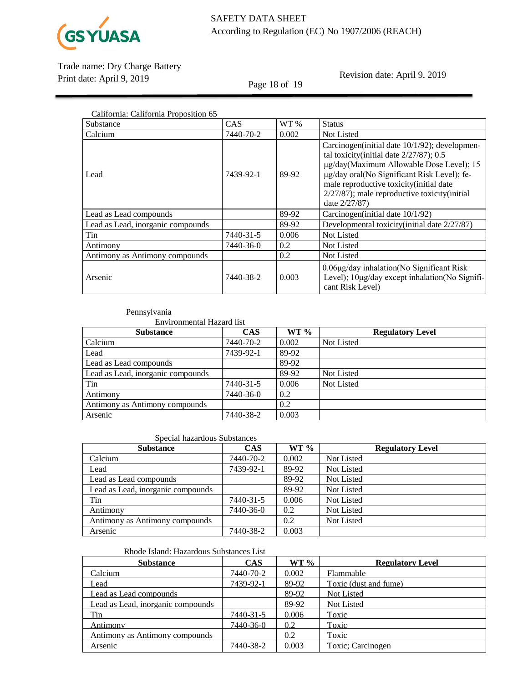

Page 18 of 19

Revision date: April 9, 2019

| California: California Proposition 65 |            |       |                                                                                                                                                                                                                                                                                                        |  |
|---------------------------------------|------------|-------|--------------------------------------------------------------------------------------------------------------------------------------------------------------------------------------------------------------------------------------------------------------------------------------------------------|--|
| Substance                             | <b>CAS</b> | WT %  | <b>Status</b>                                                                                                                                                                                                                                                                                          |  |
| Calcium                               | 7440-70-2  | 0.002 | <b>Not Listed</b>                                                                                                                                                                                                                                                                                      |  |
| Lead                                  | 7439-92-1  | 89-92 | Carcinogen (initial date 10/1/92); developmen-<br>tal toxicity(initial date $2/27/87$ ); 0.5<br>µg/day(Maximum Allowable Dose Level); 15<br>µg/day oral(No Significant Risk Level); fe-<br>male reproductive toxicity(initial date<br>$2/27/87$ ; male reproductive toxicity (initial<br>date 2/27/87) |  |
| Lead as Lead compounds                |            | 89-92 | Carcinogen (initial date 10/1/92)                                                                                                                                                                                                                                                                      |  |
| Lead as Lead, inorganic compounds     |            | 89-92 | Developmental toxicity(initial date 2/27/87)                                                                                                                                                                                                                                                           |  |
| Tin                                   | 7440-31-5  | 0.006 | <b>Not Listed</b>                                                                                                                                                                                                                                                                                      |  |
| Antimony                              | 7440-36-0  | 0.2   | <b>Not Listed</b>                                                                                                                                                                                                                                                                                      |  |
| Antimony as Antimony compounds        |            | 0.2   | <b>Not Listed</b>                                                                                                                                                                                                                                                                                      |  |
| Arsenic                               | 7440-38-2  | 0.003 | $0.06\mu$ g/day inhalation(No Significant Risk<br>Level); 10µg/day except inhalation(No Signifi-<br>cant Risk Level)                                                                                                                                                                                   |  |

### Pennsylvania

Environmental Hazard list

| <b>Substance</b>                  | CAS       | $WT \%$ | <b>Regulatory Level</b> |
|-----------------------------------|-----------|---------|-------------------------|
| Calcium                           | 7440-70-2 | 0.002   | Not Listed              |
| Lead                              | 7439-92-1 | 89-92   |                         |
| Lead as Lead compounds            |           | 89-92   |                         |
| Lead as Lead, inorganic compounds |           | 89-92   | Not Listed              |
| Tin                               | 7440-31-5 | 0.006   | Not Listed              |
| Antimony                          | 7440-36-0 | 0.2     |                         |
| Antimony as Antimony compounds    |           | 0.2     |                         |
| Arsenic                           | 7440-38-2 | 0.003   |                         |

#### Special hazardous Substances

| <b>Substance</b>                  | <b>CAS</b> | $WT \%$ | <b>Regulatory Level</b> |
|-----------------------------------|------------|---------|-------------------------|
| Calcium                           | 7440-70-2  | 0.002   | Not Listed              |
| Lead                              | 7439-92-1  | 89-92   | Not Listed              |
| Lead as Lead compounds            |            | 89-92   | Not Listed              |
| Lead as Lead, inorganic compounds |            | 89-92   | Not Listed              |
| Tin                               | 7440-31-5  | 0.006   | Not Listed              |
| Antimony                          | 7440-36-0  | 0.2     | Not Listed              |
| Antimony as Antimony compounds    |            | 0.2     | Not Listed              |
| Arsenic                           | 7440-38-2  | 0.003   |                         |

# Rhode Island: Hazardous Substances List

| <b>Substance</b>                  | <b>CAS</b> | WT 9/6 | <b>Regulatory Level</b> |
|-----------------------------------|------------|--------|-------------------------|
| Calcium                           | 7440-70-2  | 0.002  | Flammable               |
| Lead                              | 7439-92-1  | 89-92  | Toxic (dust and fume)   |
| Lead as Lead compounds            |            | 89-92  | Not Listed              |
| Lead as Lead, inorganic compounds |            | 89-92  | Not Listed              |
| Tin                               | 7440-31-5  | 0.006  | Toxic                   |
| Antimony                          | 7440-36-0  | 0.2    | Toxic                   |
| Antimony as Antimony compounds    |            | 0.2    | Toxic                   |
| Arsenic                           | 7440-38-2  | 0.003  | Toxic; Carcinogen       |